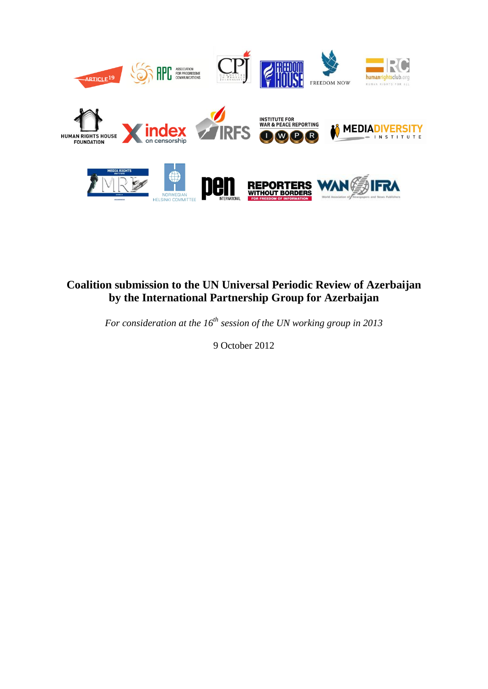

# **Coalition submission to the UN Universal Periodic Review of Azerbaijan by the International Partnership Group for Azerbaijan**

*For consideration at the 16th session of the UN working group in 2013*

9 October 2012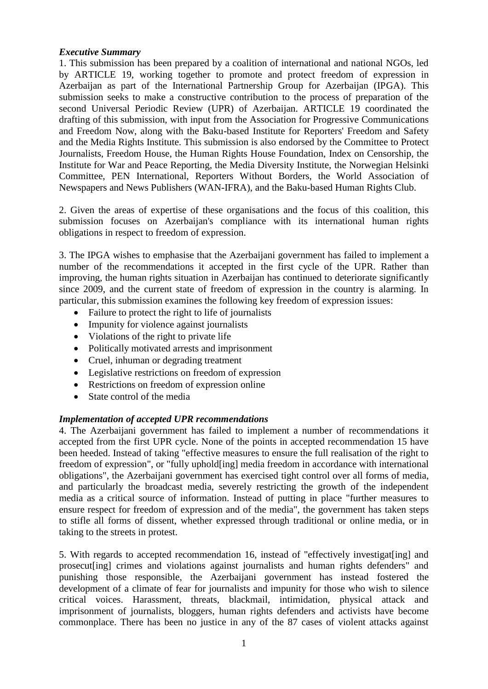#### *Executive Summary*

1. This submission has been prepared by a coalition of international and national NGOs, led by ARTICLE 19, working together to promote and protect freedom of expression in Azerbaijan as part of the International Partnership Group for Azerbaijan (IPGA). This submission seeks to make a constructive contribution to the process of preparation of the second Universal Periodic Review (UPR) of Azerbaijan. ARTICLE 19 coordinated the drafting of this submission, with input from the Association for Progressive Communications and Freedom Now, along with the Baku-based Institute for Reporters' Freedom and Safety and the Media Rights Institute. This submission is also endorsed by the Committee to Protect Journalists, Freedom House, the Human Rights House Foundation, Index on Censorship, the Institute for War and Peace Reporting, the Media Diversity Institute, the Norwegian Helsinki Committee, PEN International, Reporters Without Borders, the World Association of Newspapers and News Publishers (WAN-IFRA), and the Baku-based Human Rights Club.

2. Given the areas of expertise of these organisations and the focus of this coalition, this submission focuses on Azerbaijan's compliance with its international human rights obligations in respect to freedom of expression.

3. The IPGA wishes to emphasise that the Azerbaijani government has failed to implement a number of the recommendations it accepted in the first cycle of the UPR. Rather than improving, the human rights situation in Azerbaijan has continued to deteriorate significantly since 2009, and the current state of freedom of expression in the country is alarming. In particular, this submission examines the following key freedom of expression issues:

- Failure to protect the right to life of journalists
- Impunity for violence against journalists
- Violations of the right to private life
- Politically motivated arrests and imprisonment
- Cruel, inhuman or degrading treatment
- Legislative restrictions on freedom of expression
- Restrictions on freedom of expression online
- State control of the media

#### *Implementation of accepted UPR recommendations*

4. The Azerbaijani government has failed to implement a number of recommendations it accepted from the first UPR cycle. None of the points in accepted recommendation 15 have been heeded. Instead of taking "effective measures to ensure the full realisation of the right to freedom of expression", or "fully uphold[ing] media freedom in accordance with international obligations", the Azerbaijani government has exercised tight control over all forms of media, and particularly the broadcast media, severely restricting the growth of the independent media as a critical source of information. Instead of putting in place "further measures to ensure respect for freedom of expression and of the media", the government has taken steps to stifle all forms of dissent, whether expressed through traditional or online media, or in taking to the streets in protest.

5. With regards to accepted recommendation 16, instead of "effectively investigat[ing] and prosecut[ing] crimes and violations against journalists and human rights defenders" and punishing those responsible, the Azerbaijani government has instead fostered the development of a climate of fear for journalists and impunity for those who wish to silence critical voices. Harassment, threats, blackmail, intimidation, physical attack and imprisonment of journalists, bloggers, human rights defenders and activists have become commonplace. There has been no justice in any of the 87 cases of violent attacks against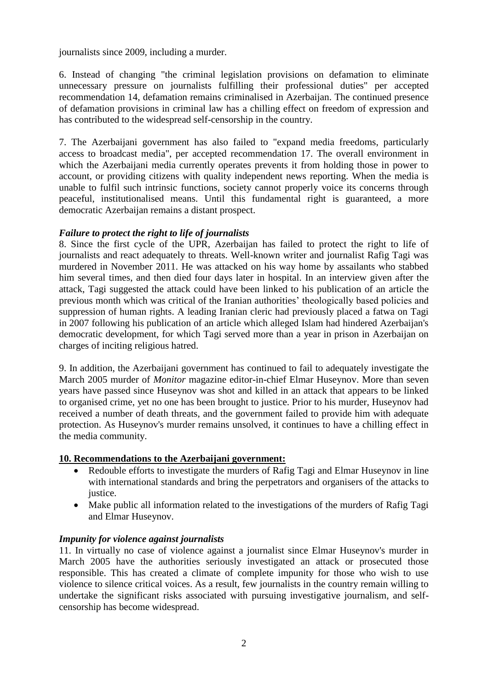journalists since 2009, including a murder.

6. Instead of changing "the criminal legislation provisions on defamation to eliminate unnecessary pressure on journalists fulfilling their professional duties" per accepted recommendation 14, defamation remains criminalised in Azerbaijan. The continued presence of defamation provisions in criminal law has a chilling effect on freedom of expression and has contributed to the widespread self-censorship in the country.

7. The Azerbaijani government has also failed to "expand media freedoms, particularly access to broadcast media", per accepted recommendation 17. The overall environment in which the Azerbaijani media currently operates prevents it from holding those in power to account, or providing citizens with quality independent news reporting. When the media is unable to fulfil such intrinsic functions, society cannot properly voice its concerns through peaceful, institutionalised means. Until this fundamental right is guaranteed, a more democratic Azerbaijan remains a distant prospect.

#### *Failure to protect the right to life of journalists*

8. Since the first cycle of the UPR, Azerbaijan has failed to protect the right to life of journalists and react adequately to threats. Well-known writer and journalist Rafig Tagi was murdered in November 2011. He was attacked on his way home by assailants who stabbed him several times, and then died four days later in hospital. In an interview given after the attack, Tagi suggested the attack could have been linked to his publication of an article the previous month which was critical of the Iranian authorities' theologically based policies and suppression of human rights. A leading Iranian cleric had previously placed a fatwa on Tagi in 2007 following his publication of an article which alleged Islam had hindered Azerbaijan's democratic development, for which Tagi served more than a year in prison in Azerbaijan on charges of inciting religious hatred.

9. In addition, the Azerbaijani government has continued to fail to adequately investigate the March 2005 murder of *Monitor* magazine editor-in-chief Elmar Huseynov. More than seven years have passed since Huseynov was shot and killed in an attack that appears to be linked to organised crime, yet no one has been brought to justice. Prior to his murder, Huseynov had received a number of death threats, and the government failed to provide him with adequate protection. As Huseynov's murder remains unsolved, it continues to have a chilling effect in the media community.

#### **10. Recommendations to the Azerbaijani government:**

- Redouble efforts to investigate the murders of Rafig Tagi and Elmar Huseynov in line with international standards and bring the perpetrators and organisers of the attacks to justice.
- Make public all information related to the investigations of the murders of Rafig Tagi and Elmar Huseynov.

## *Impunity for violence against journalists*

11. In virtually no case of violence against a journalist since Elmar Huseynov's murder in March 2005 have the authorities seriously investigated an attack or prosecuted those responsible. This has created a climate of complete impunity for those who wish to use violence to silence critical voices. As a result, few journalists in the country remain willing to undertake the significant risks associated with pursuing investigative journalism, and selfcensorship has become widespread.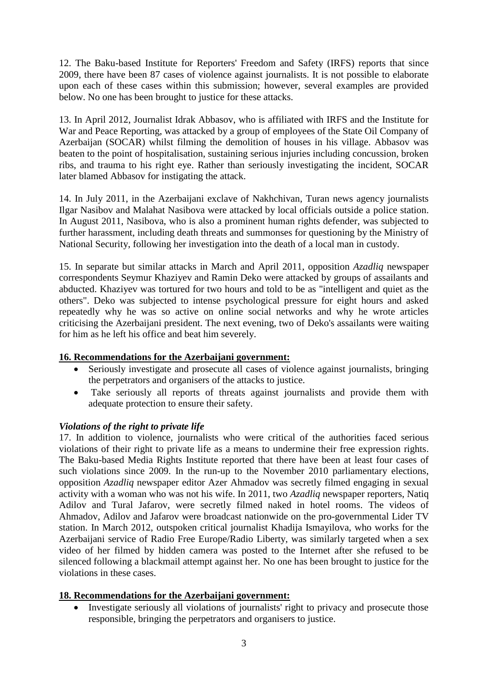12. The Baku-based Institute for Reporters' Freedom and Safety (IRFS) reports that since 2009, there have been 87 cases of violence against journalists. It is not possible to elaborate upon each of these cases within this submission; however, several examples are provided below. No one has been brought to justice for these attacks.

13. In April 2012, Journalist Idrak Abbasov, who is affiliated with IRFS and the Institute for War and Peace Reporting, was attacked by a group of employees of the State Oil Company of Azerbaijan (SOCAR) whilst filming the demolition of houses in his village. Abbasov was beaten to the point of hospitalisation, sustaining serious injuries including concussion, broken ribs, and trauma to his right eye. Rather than seriously investigating the incident, SOCAR later blamed Abbasov for instigating the attack.

14. In July 2011, in the Azerbaijani exclave of Nakhchivan, Turan news agency journalists Ilgar Nasibov and Malahat Nasibova were attacked by local officials outside a police station. In August 2011, Nasibova, who is also a prominent human rights defender, was subjected to further harassment, including death threats and summonses for questioning by the Ministry of National Security, following her investigation into the death of a local man in custody.

15. In separate but similar attacks in March and April 2011, opposition *Azadliq* newspaper correspondents Seymur Khaziyev and Ramin Deko were attacked by groups of assailants and abducted. Khaziyev was tortured for two hours and told to be as "intelligent and quiet as the others". Deko was subjected to intense psychological pressure for eight hours and asked repeatedly why he was so active on online social networks and why he wrote articles criticising the Azerbaijani president. The next evening, two of Deko's assailants were waiting for him as he left his office and beat him severely.

## **16. Recommendations for the Azerbaijani government:**

- Seriously investigate and prosecute all cases of violence against journalists, bringing the perpetrators and organisers of the attacks to justice.
- Take seriously all reports of threats against journalists and provide them with adequate protection to ensure their safety.

## *Violations of the right to private life*

17. In addition to violence, journalists who were critical of the authorities faced serious violations of their right to private life as a means to undermine their free expression rights. The Baku-based Media Rights Institute reported that there have been at least four cases of such violations since 2009. In the run-up to the November 2010 parliamentary elections, opposition *Azadliq* newspaper editor Azer Ahmadov was secretly filmed engaging in sexual activity with a woman who was not his wife. In 2011, two *Azadliq* newspaper reporters, Natiq Adilov and Tural Jafarov, were secretly filmed naked in hotel rooms. The videos of Ahmadov, Adilov and Jafarov were broadcast nationwide on the pro-governmental Lider TV station. In March 2012, outspoken critical journalist Khadija Ismayilova, who works for the Azerbaijani service of Radio Free Europe/Radio Liberty, was similarly targeted when a sex video of her filmed by hidden camera was posted to the Internet after she refused to be silenced following a blackmail attempt against her. No one has been brought to justice for the violations in these cases.

## **18. Recommendations for the Azerbaijani government:**

• Investigate seriously all violations of journalists' right to privacy and prosecute those responsible, bringing the perpetrators and organisers to justice.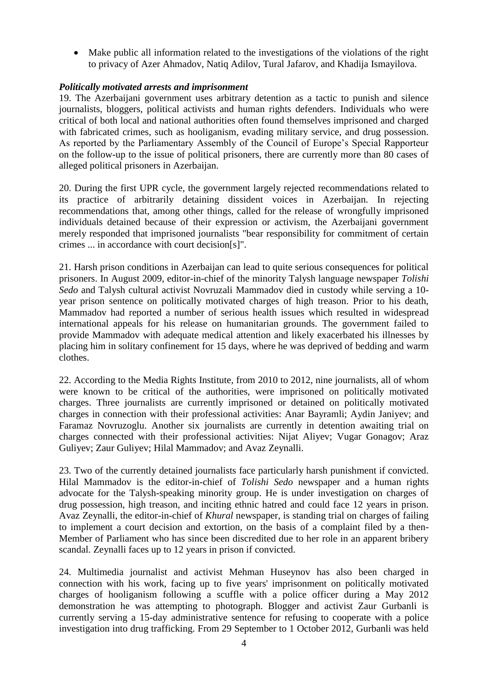Make public all information related to the investigations of the violations of the right to privacy of Azer Ahmadov, Natiq Adilov, Tural Jafarov, and Khadija Ismayilova.

#### *Politically motivated arrests and imprisonment*

19. The Azerbaijani government uses arbitrary detention as a tactic to punish and silence journalists, bloggers, political activists and human rights defenders. Individuals who were critical of both local and national authorities often found themselves imprisoned and charged with fabricated crimes, such as hooliganism, evading military service, and drug possession. As reported by the Parliamentary Assembly of the Council of Europe's Special Rapporteur on the follow-up to the issue of political prisoners, there are currently more than 80 cases of alleged political prisoners in Azerbaijan.

20. During the first UPR cycle, the government largely rejected recommendations related to its practice of arbitrarily detaining dissident voices in Azerbaijan. In rejecting recommendations that, among other things, called for the release of wrongfully imprisoned individuals detained because of their expression or activism, the Azerbaijani government merely responded that imprisoned journalists "bear responsibility for commitment of certain crimes ... in accordance with court decision[s]".

21. Harsh prison conditions in Azerbaijan can lead to quite serious consequences for political prisoners. In August 2009, editor-in-chief of the minority Talysh language newspaper *Tolishi Sedo* and Talysh cultural activist Novruzali Mammadov died in custody while serving a 10 year prison sentence on politically motivated charges of high treason. Prior to his death, Mammadov had reported a number of serious health issues which resulted in widespread international appeals for his release on humanitarian grounds. The government failed to provide Mammadov with adequate medical attention and likely exacerbated his illnesses by placing him in solitary confinement for 15 days, where he was deprived of bedding and warm clothes.

22. According to the Media Rights Institute, from 2010 to 2012, nine journalists, all of whom were known to be critical of the authorities, were imprisoned on politically motivated charges. Three journalists are currently imprisoned or detained on politically motivated charges in connection with their professional activities: Anar Bayramli; Aydin Janiyev; and Faramaz Novruzoglu. Another six journalists are currently in detention awaiting trial on charges connected with their professional activities: Nijat Aliyev; Vugar Gonagov; Araz Guliyev; Zaur Guliyev; Hilal Mammadov; and Avaz Zeynalli.

23. Two of the currently detained journalists face particularly harsh punishment if convicted. Hilal Mammadov is the editor-in-chief of *Tolishi Sedo* newspaper and a human rights advocate for the Talysh-speaking minority group. He is under investigation on charges of drug possession, high treason, and inciting ethnic hatred and could face 12 years in prison. Avaz Zeynalli, the editor-in-chief of *Khural* newspaper, is standing trial on charges of failing to implement a court decision and extortion, on the basis of a complaint filed by a then-Member of Parliament who has since been discredited due to her role in an apparent bribery scandal. Zeynalli faces up to 12 years in prison if convicted.

24. Multimedia journalist and activist Mehman Huseynov has also been charged in connection with his work, facing up to five years' imprisonment on politically motivated charges of hooliganism following a scuffle with a police officer during a May 2012 demonstration he was attempting to photograph. Blogger and activist Zaur Gurbanli is currently serving a 15-day administrative sentence for refusing to cooperate with a police investigation into drug trafficking. From 29 September to 1 October 2012, Gurbanli was held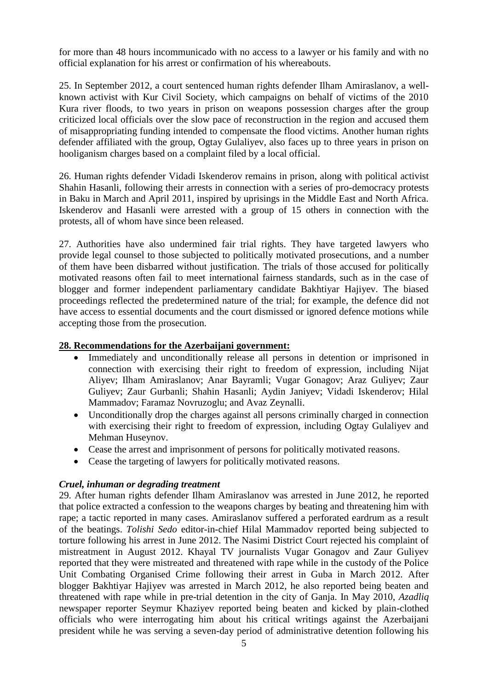for more than 48 hours incommunicado with no access to a lawyer or his family and with no official explanation for his arrest or confirmation of his whereabouts.

25. In September 2012, a court sentenced human rights defender Ilham Amiraslanov, a wellknown activist with Kur Civil Society, which campaigns on behalf of victims of the 2010 Kura river floods, to two years in prison on weapons possession charges after the group criticized local officials over the slow pace of reconstruction in the region and accused them of misappropriating funding intended to compensate the flood victims. Another human rights defender affiliated with the group, Ogtay Gulaliyev, also faces up to three years in prison on hooliganism charges based on a complaint filed by a local official.

26. Human rights defender Vidadi Iskenderov remains in prison, along with political activist Shahin Hasanli, following their arrests in connection with a series of pro-democracy protests in Baku in March and April 2011, inspired by uprisings in the Middle East and North Africa. Iskenderov and Hasanli were arrested with a group of 15 others in connection with the protests, all of whom have since been released.

27. Authorities have also undermined fair trial rights. They have targeted lawyers who provide legal counsel to those subjected to politically motivated prosecutions, and a number of them have been disbarred without justification. The trials of those accused for politically motivated reasons often fail to meet international fairness standards, such as in the case of blogger and former independent parliamentary candidate Bakhtiyar Hajiyev. The biased proceedings reflected the predetermined nature of the trial; for example, the defence did not have access to essential documents and the court dismissed or ignored defence motions while accepting those from the prosecution.

#### **28. Recommendations for the Azerbaijani government:**

- Immediately and unconditionally release all persons in detention or imprisoned in connection with exercising their right to freedom of expression, including Nijat Aliyev; Ilham Amiraslanov; Anar Bayramli; Vugar Gonagov; Araz Guliyev; Zaur Guliyev; Zaur Gurbanli; Shahin Hasanli; Aydin Janiyev; Vidadi Iskenderov; Hilal Mammadov; Faramaz Novruzoglu; and Avaz Zeynalli.
- Unconditionally drop the charges against all persons criminally charged in connection with exercising their right to freedom of expression, including Ogtay Gulaliyev and Mehman Huseynov.
- Cease the arrest and imprisonment of persons for politically motivated reasons.
- Cease the targeting of lawyers for politically motivated reasons.

## *Cruel, inhuman or degrading treatment*

29. After human rights defender Ilham Amiraslanov was arrested in June 2012, he reported that police extracted a confession to the weapons charges by beating and threatening him with rape; a tactic reported in many cases. Amiraslanov suffered a perforated eardrum as a result of the beatings. *Tolishi Sedo* editor-in-chief Hilal Mammadov reported being subjected to torture following his arrest in June 2012. The Nasimi District Court rejected his complaint of mistreatment in August 2012. Khayal TV journalists Vugar Gonagov and Zaur Guliyev reported that they were mistreated and threatened with rape while in the custody of the Police Unit Combating Organised Crime following their arrest in Guba in March 2012. After blogger Bakhtiyar Hajiyev was arrested in March 2012, he also reported being beaten and threatened with rape while in pre-trial detention in the city of Ganja. In May 2010, *Azadliq*  newspaper reporter Seymur Khaziyev reported being beaten and kicked by plain-clothed officials who were interrogating him about his critical writings against the Azerbaijani president while he was serving a seven-day period of administrative detention following his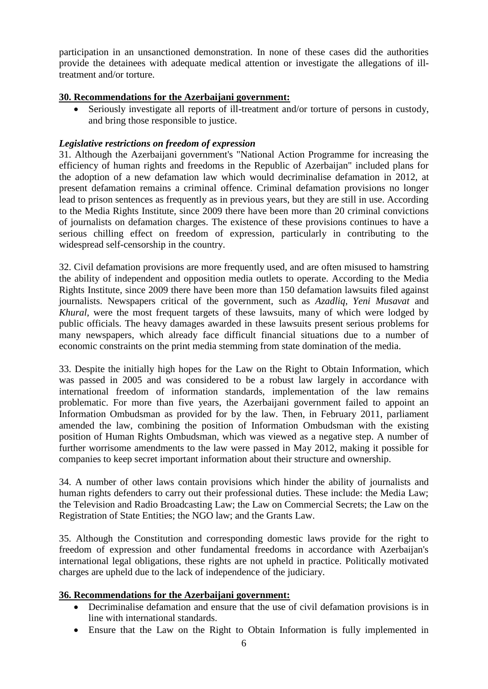participation in an unsanctioned demonstration. In none of these cases did the authorities provide the detainees with adequate medical attention or investigate the allegations of illtreatment and/or torture.

### **30. Recommendations for the Azerbaijani government:**

 Seriously investigate all reports of ill-treatment and/or torture of persons in custody, and bring those responsible to justice.

#### *Legislative restrictions on freedom of expression*

31. Although the Azerbaijani government's "National Action Programme for increasing the efficiency of human rights and freedoms in the Republic of Azerbaijan" included plans for the adoption of a new defamation law which would decriminalise defamation in 2012, at present defamation remains a criminal offence. Criminal defamation provisions no longer lead to prison sentences as frequently as in previous years, but they are still in use. According to the Media Rights Institute, since 2009 there have been more than 20 criminal convictions of journalists on defamation charges. The existence of these provisions continues to have a serious chilling effect on freedom of expression, particularly in contributing to the widespread self-censorship in the country.

32. Civil defamation provisions are more frequently used, and are often misused to hamstring the ability of independent and opposition media outlets to operate. According to the Media Rights Institute, since 2009 there have been more than 150 defamation lawsuits filed against journalists. Newspapers critical of the government, such as *Azadliq*, *Yeni Musavat* and *Khural,* were the most frequent targets of these lawsuits, many of which were lodged by public officials. The heavy damages awarded in these lawsuits present serious problems for many newspapers, which already face difficult financial situations due to a number of economic constraints on the print media stemming from state domination of the media.

33. Despite the initially high hopes for the Law on the Right to Obtain Information, which was passed in 2005 and was considered to be a robust law largely in accordance with international freedom of information standards, implementation of the law remains problematic. For more than five years, the Azerbaijani government failed to appoint an Information Ombudsman as provided for by the law. Then, in February 2011, parliament amended the law, combining the position of Information Ombudsman with the existing position of Human Rights Ombudsman, which was viewed as a negative step. A number of further worrisome amendments to the law were passed in May 2012, making it possible for companies to keep secret important information about their structure and ownership.

34. A number of other laws contain provisions which hinder the ability of journalists and human rights defenders to carry out their professional duties. These include: the Media Law; the Television and Radio Broadcasting Law; the Law on Commercial Secrets; the Law on the Registration of State Entities; the NGO law; and the Grants Law.

35. Although the Constitution and corresponding domestic laws provide for the right to freedom of expression and other fundamental freedoms in accordance with Azerbaijan's international legal obligations, these rights are not upheld in practice. Politically motivated charges are upheld due to the lack of independence of the judiciary.

#### **36. Recommendations for the Azerbaijani government:**

- Decriminalise defamation and ensure that the use of civil defamation provisions is in line with international standards.
- Ensure that the Law on the Right to Obtain Information is fully implemented in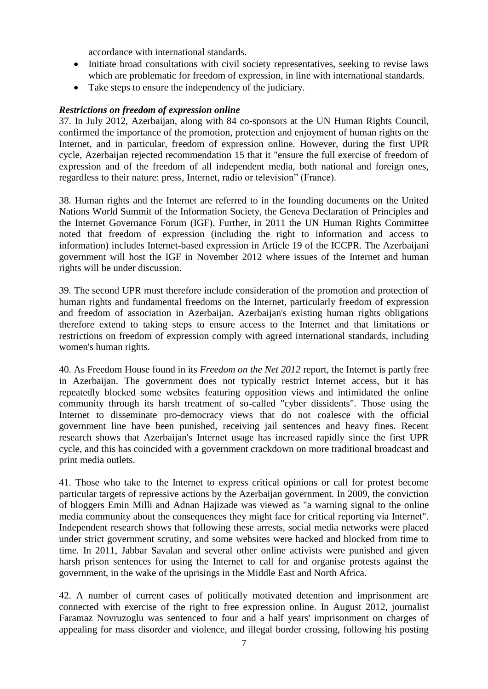accordance with international standards.

- Initiate broad consultations with civil society representatives, seeking to revise laws which are problematic for freedom of expression, in line with international standards.
- Take steps to ensure the independency of the judiciary.

## *Restrictions on freedom of expression online*

37. In July 2012, Azerbaijan, along with 84 co-sponsors at the UN Human Rights Council, confirmed the importance of the promotion, protection and enjoyment of human rights on the Internet, and in particular, freedom of expression online. However, during the first UPR cycle, Azerbaijan rejected recommendation 15 that it "ensure the full exercise of freedom of expression and of the freedom of all independent media, both national and foreign ones, regardless to their nature: press, Internet, radio or television" (France).

38. Human rights and the Internet are referred to in the founding documents on the United Nations World Summit of the Information Society, the Geneva Declaration of Principles and the Internet Governance Forum (IGF). Further, in 2011 the UN Human Rights Committee noted that freedom of expression (including the right to information and access to information) includes Internet-based expression in Article 19 of the ICCPR. The Azerbaijani government will host the IGF in November 2012 where issues of the Internet and human rights will be under discussion.

39. The second UPR must therefore include consideration of the promotion and protection of human rights and fundamental freedoms on the Internet, particularly freedom of expression and freedom of association in Azerbaijan. Azerbaijan's existing human rights obligations therefore extend to taking steps to ensure access to the Internet and that limitations or restrictions on freedom of expression comply with agreed international standards, including women's human rights.

40. As Freedom House found in its *Freedom on the Net 2012* report, the Internet is partly free in Azerbaijan. The government does not typically restrict Internet access, but it has repeatedly blocked some websites featuring opposition views and intimidated the online community through its harsh treatment of so-called "cyber dissidents". Those using the Internet to disseminate pro-democracy views that do not coalesce with the official government line have been punished, receiving jail sentences and heavy fines. Recent research shows that Azerbaijan's Internet usage has increased rapidly since the first UPR cycle, and this has coincided with a government crackdown on more traditional broadcast and print media outlets.

41. Those who take to the Internet to express critical opinions or call for protest become particular targets of repressive actions by the Azerbaijan government. In 2009, the conviction of bloggers Emin Milli and Adnan Hajizade was viewed as "a warning signal to the online media community about the consequences they might face for critical reporting via Internet". Independent research shows that following these arrests, social media networks were placed under strict government scrutiny, and some websites were hacked and blocked from time to time. In 2011, Jabbar Savalan and several other online activists were punished and given harsh prison sentences for using the Internet to call for and organise protests against the government, in the wake of the uprisings in the Middle East and North Africa.

42. A number of current cases of politically motivated detention and imprisonment are connected with exercise of the right to free expression online. In August 2012, journalist Faramaz Novruzoglu was sentenced to four and a half years' imprisonment on charges of appealing for mass disorder and violence, and illegal border crossing, following his posting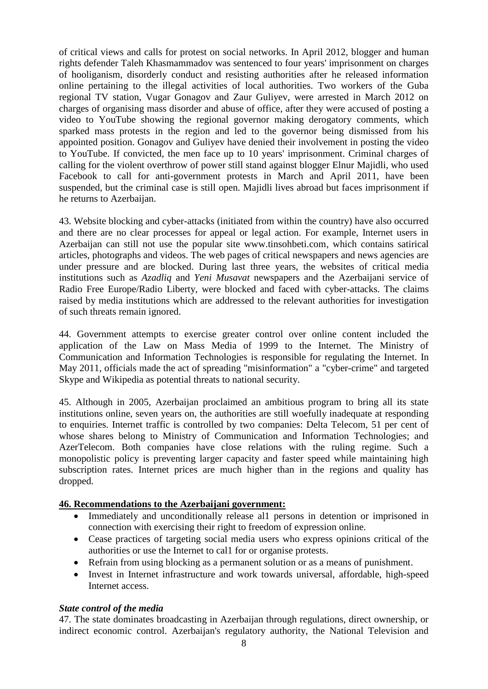of critical views and calls for protest on social networks. In April 2012, blogger and human rights defender Taleh Khasmammadov was sentenced to four years' imprisonment on charges of hooliganism, disorderly conduct and resisting authorities after he released information online pertaining to the illegal activities of local authorities. Two workers of the Guba regional TV station, Vugar Gonagov and Zaur Guliyev, were arrested in March 2012 on charges of organising mass disorder and abuse of office, after they were accused of posting a video to YouTube showing the regional governor making derogatory comments, which sparked mass protests in the region and led to the governor being dismissed from his appointed position. Gonagov and Guliyev have denied their involvement in posting the video to YouTube. If convicted, the men face up to 10 years' imprisonment. Criminal charges of calling for the violent overthrow of power still stand against blogger Elnur Majidli, who used Facebook to call for anti-government protests in March and April 2011, have been suspended, but the criminal case is still open. Majidli lives abroad but faces imprisonment if he returns to Azerbaijan.

43. Website blocking and cyber-attacks (initiated from within the country) have also occurred and there are no clear processes for appeal or legal action. For example, Internet users in [Azerbaijan can still not use the popular site www.tinsohbeti.com,](http://www.tinsohbeti.com./) which contains satirical articles, photographs and videos. The web pages of critical newspapers and news agencies are under pressure and are blocked. During last three years, the websites of critical media institutions such as *Azadliq* and *Yeni Musavat* newspapers and the Azerbaijani service of Radio Free Europe/Radio Liberty, were blocked and faced with cyber-attacks. The claims raised by media institutions which are addressed to the relevant authorities for investigation of such threats remain ignored.

44. Government attempts to exercise greater control over online content included the application of the Law on Mass Media of 1999 to the Internet. The Ministry of Communication and Information Technologies is responsible for regulating the Internet. In May 2011, officials made the act of spreading "misinformation" a "cyber-crime" and targeted Skype and Wikipedia as potential threats to national security.

45. Although in 2005, Azerbaijan proclaimed an ambitious program to bring all its state institutions online, seven years on, the authorities are still woefully inadequate at responding to enquiries. Internet traffic is controlled by two companies: Delta Telecom, 51 per cent of whose shares belong to Ministry of Communication and Information Technologies; and AzerTelecom. Both companies have close relations with the ruling regime. Such a monopolistic policy is preventing larger capacity and faster speed while maintaining high subscription rates. Internet prices are much higher than in the regions and quality has dropped.

## **46. Recommendations to the Azerbaijani government:**

- Immediately and unconditionally release al1 persons in detention or imprisoned in connection with exercising their right to freedom of expression online.
- Cease practices of targeting social media users who express opinions critical of the authorities or use the Internet to cal1 for or organise protests.
- Refrain from using blocking as a permanent solution or as a means of punishment.
- Invest in Internet infrastructure and work towards universal, affordable, high-speed Internet access.

#### *State control of the media*

47. The state dominates broadcasting in Azerbaijan through regulations, direct ownership, or indirect economic control. Azerbaijan's regulatory authority, the National Television and